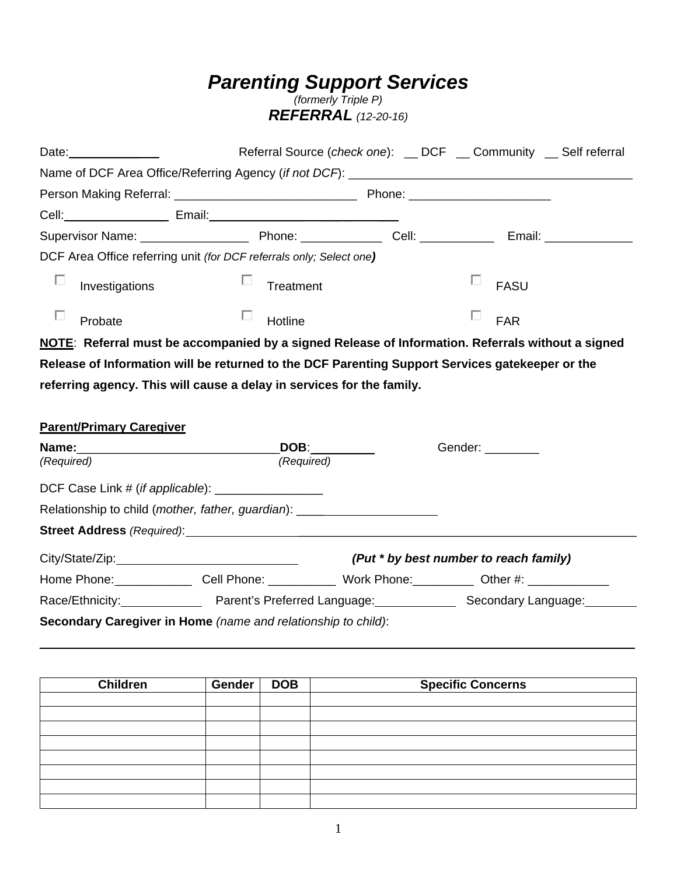# *Parenting Support Services*

*(formerly Triple P) REFERRAL (12-20-16)*

| Date: $\frac{1}{\sqrt{1-\frac{1}{2}}\cdot\frac{1}{2}}$                                            |                                                                                                 | Referral Source (check one): _ DCF _ Community _ Self referral |  |                                        |  |  |
|---------------------------------------------------------------------------------------------------|-------------------------------------------------------------------------------------------------|----------------------------------------------------------------|--|----------------------------------------|--|--|
|                                                                                                   |                                                                                                 |                                                                |  |                                        |  |  |
|                                                                                                   |                                                                                                 |                                                                |  |                                        |  |  |
|                                                                                                   |                                                                                                 |                                                                |  |                                        |  |  |
|                                                                                                   |                                                                                                 |                                                                |  |                                        |  |  |
|                                                                                                   | DCF Area Office referring unit (for DCF referrals only; Select one)                             |                                                                |  |                                        |  |  |
| п<br>Investigations                                                                               | Treatment                                                                                       |                                                                |  | ш<br><b>FASU</b>                       |  |  |
| Probate                                                                                           | Hotline                                                                                         |                                                                |  | ш<br><b>FAR</b>                        |  |  |
| NOTE: Referral must be accompanied by a signed Release of Information. Referrals without a signed |                                                                                                 |                                                                |  |                                        |  |  |
|                                                                                                   | Release of Information will be returned to the DCF Parenting Support Services gatekeeper or the |                                                                |  |                                        |  |  |
|                                                                                                   | referring agency. This will cause a delay in services for the family.                           |                                                                |  |                                        |  |  |
| <b>Parent/Primary Caregiver</b>                                                                   |                                                                                                 |                                                                |  |                                        |  |  |
| Name:<br>(Required)                                                                               | DOB: _________<br>(Required)                                                                    |                                                                |  | Gender: ________                       |  |  |
|                                                                                                   | DCF Case Link # (if applicable): ___________________                                            |                                                                |  |                                        |  |  |
|                                                                                                   | Relationship to child (mother, father, guardian): ______________________________                |                                                                |  |                                        |  |  |
|                                                                                                   |                                                                                                 |                                                                |  |                                        |  |  |
|                                                                                                   |                                                                                                 |                                                                |  | (Put * by best number to reach family) |  |  |
|                                                                                                   | Home Phone: Cell Phone: Work Phone: Work Phone: Other #: 1980 Mone: 2000                        |                                                                |  |                                        |  |  |
|                                                                                                   |                                                                                                 |                                                                |  |                                        |  |  |
|                                                                                                   | Secondary Caregiver in Home (name and relationship to child):                                   |                                                                |  |                                        |  |  |
|                                                                                                   |                                                                                                 |                                                                |  |                                        |  |  |
|                                                                                                   |                                                                                                 |                                                                |  |                                        |  |  |
|                                                                                                   |                                                                                                 |                                                                |  |                                        |  |  |

| <b>Children</b> | Gender | <b>DOB</b> | <b>Specific Concerns</b> |
|-----------------|--------|------------|--------------------------|
|                 |        |            |                          |
|                 |        |            |                          |
|                 |        |            |                          |
|                 |        |            |                          |
|                 |        |            |                          |
|                 |        |            |                          |
|                 |        |            |                          |
|                 |        |            |                          |